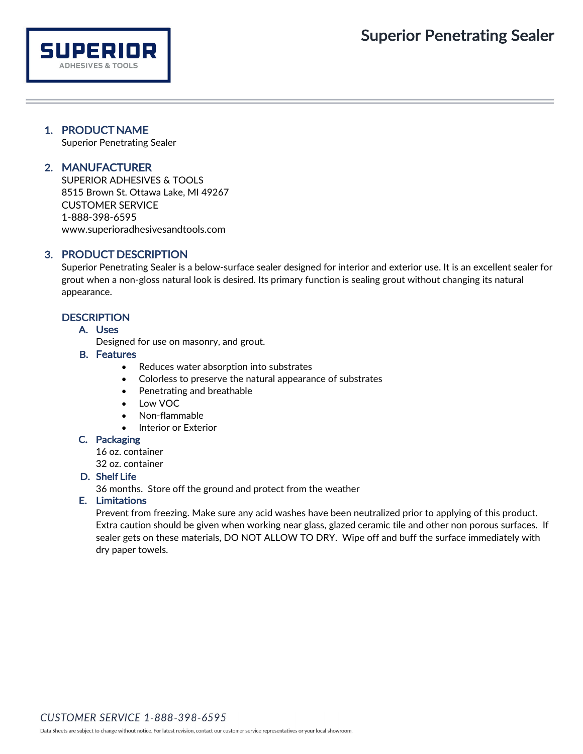# 1. PRODUCT NAME

**SUPERIOR ADHESIVES & TOOLS** 

Superior Penetrating Sealer

# 2. MANUFACTURER

SUPERIOR ADHESIVES & TOOLS 8515 Brown St. Ottawa Lake, MI 49267 CUSTOMER SERVICE 1-888-398-6595 [www.superioradhesivesandtools.com](http://www.superioradhesivesandtools.com/)

# 3. PRODUCT DESCRIPTION

Superior Penetrating Sealer is a below-surface sealer designed for interior and exterior use. It is an excellent sealer for grout when a non-gloss natural look is desired. Its primary function is sealing grout without changing its natural appearance.

## **DESCRIPTION**

### A. Uses

Designed for use on masonry, and grout.

### B. Features

- Reduces water absorption into substrates
- Colorless to preserve the natural appearance of substrates
- Penetrating and breathable
- Low VOC
- Non-flammable
- Interior or Exterior

### C. Packaging

16 oz. container

32 oz. container

## D. Shelf Life

36 months. Store off the ground and protect from the weather

### E. Limitations

Prevent from freezing. Make sure any acid washes have been neutralized prior to applying of this product. Extra caution should be given when working near glass, glazed ceramic tile and other non porous surfaces. If sealer gets on these materials, DO NOT ALLOW TO DRY. Wipe off and buff the surface immediately with dry paper towels.